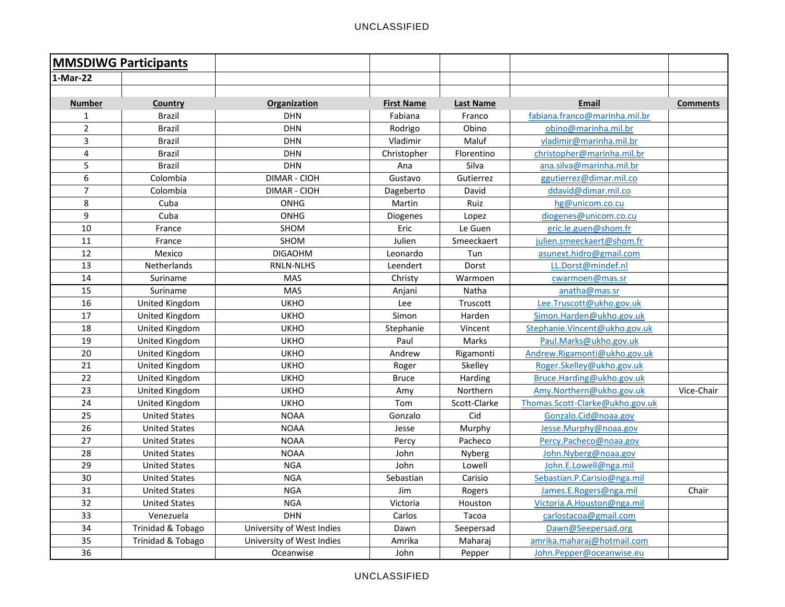| <b>MMSDIWG Participants</b> |                       |                           |                   |                  |                                 |                 |
|-----------------------------|-----------------------|---------------------------|-------------------|------------------|---------------------------------|-----------------|
| 1-Mar-22                    |                       |                           |                   |                  |                                 |                 |
|                             |                       |                           |                   |                  |                                 |                 |
| <b>Number</b>               | Country               | Organization              | <b>First Name</b> | <b>Last Name</b> | <b>Email</b>                    | <b>Comments</b> |
| $\mathbf{1}$                | <b>Brazil</b>         | <b>DHN</b>                | Fabiana           | Franco           | fabiana.franco@marinha.mil.br   |                 |
| $\overline{2}$              | <b>Brazil</b>         | <b>DHN</b>                | Rodrigo           | Obino            | obino@marinha.mil.br            |                 |
| 3                           | <b>Brazil</b>         | DHN                       | Vladimir          | Maluf            | vladimir@marinha.mil.br         |                 |
| 4                           | <b>Brazil</b>         | <b>DHN</b>                | Christopher       | Florentino       | christopher@marinha.mil.br      |                 |
| 5                           | <b>Brazil</b>         | <b>DHN</b>                | Ana               | Silva            | ana.silva@marinha.mil.br        |                 |
| 6                           | Colombia              | <b>DIMAR - CIOH</b>       | Gustavo           | Gutierrez        | ggutierrez@dimar.mil.co         |                 |
| $\overline{7}$              | Colombia              | <b>DIMAR - CIOH</b>       | Dageberto         | David            | ddavid@dimar.mil.co             |                 |
| 8                           | Cuba                  | ONHG                      | Martin            | Ruiz             | hg@unicom.co.cu                 |                 |
| 9                           | Cuba                  | <b>ONHG</b>               | Diogenes          | Lopez            | diogenes@unicom.co.cu           |                 |
| 10                          | France                | SHOM                      | Eric              | Le Guen          | eric.le.guen@shom.fr            |                 |
| 11                          | France                | SHOM                      | Julien            | Smeeckaert       | julien.smeeckaert@shom.fr       |                 |
| 12                          | Mexico                | <b>DIGAOHM</b>            | Leonardo          | Tun              | asunext.hidro@gmail.com         |                 |
| 13                          | Netherlands           | <b>RNLN-NLHS</b>          | Leendert          | Dorst            | LL.Dorst@mindef.nl              |                 |
| 14                          | Suriname              | <b>MAS</b>                | Christy           | Warmoen          | cwarmoen@mas.sr                 |                 |
| 15                          | Suriname              | <b>MAS</b>                | Anjani            | Natha            | anatha@mas.sr                   |                 |
| 16                          | United Kingdom        | <b>UKHO</b>               | Lee               | Truscott         | Lee.Truscott@ukho.gov.uk        |                 |
| 17                          | <b>United Kingdom</b> | <b>UKHO</b>               | Simon             | Harden           | Simon.Harden@ukho.gov.uk        |                 |
| 18                          | <b>United Kingdom</b> | <b>UKHO</b>               | Stephanie         | Vincent          | Stephanie.Vincent@ukho.gov.uk   |                 |
| 19                          | United Kingdom        | <b>UKHO</b>               | Paul              | Marks            | Paul.Marks@ukho.gov.uk          |                 |
| 20                          | United Kingdom        | <b>UKHO</b>               | Andrew            | Rigamonti        | Andrew.Rigamonti@ukho.gov.uk    |                 |
| 21                          | United Kingdom        | <b>UKHO</b>               | Roger             | Skelley          | Roger.Skelley@ukho.gov.uk       |                 |
| 22                          | United Kingdom        | <b>UKHO</b>               | <b>Bruce</b>      | Harding          | Bruce.Harding@ukho.gov.uk       |                 |
| 23                          | United Kingdom        | <b>UKHO</b>               | Amy               | Northern         | Amy.Northern@ukho.gov.uk        | Vice-Chair      |
| 24                          | United Kingdom        | <b>UKHO</b>               | Tom               | Scott-Clarke     | Thomas.Scott-Clarke@ukho.gov.uk |                 |
| 25                          | <b>United States</b>  | <b>NOAA</b>               | Gonzalo           | Cid              | Gonzalo.Cid@noaa.gov            |                 |
| 26                          | <b>United States</b>  | <b>NOAA</b>               | Jesse             | Murphy           | Jesse.Murphy@noaa.gov           |                 |
| 27                          | <b>United States</b>  | <b>NOAA</b>               | Percy             | Pacheco          | Percy.Pacheco@noaa.gov          |                 |
| 28                          | <b>United States</b>  | <b>NOAA</b>               | John              | Nyberg           | John.Nyberg@noaa.gov            |                 |
| 29                          | <b>United States</b>  | <b>NGA</b>                | John              | Lowell           | John.E.Lowell@nga.mil           |                 |
| 30                          | <b>United States</b>  | <b>NGA</b>                | Sebastian         | Carisio          | Sebastian.P.Carisio@nga.mil     |                 |
| 31                          | <b>United States</b>  | <b>NGA</b>                | Jim               | Rogers           | James.E.Rogers@nga.mil          | Chair           |
| 32                          | <b>United States</b>  | <b>NGA</b>                | Victoria          | Houston          | Victoria.A.Houston@nga.mil      |                 |
| 33                          | Venezuela             | <b>DHN</b>                | Carlos            | Tacoa            | carlostacoa@gmail.com           |                 |
| 34                          | Trinidad & Tobago     | University of West Indies | Dawn              | Seepersad        | Dawn@Seepersad.org              |                 |
| 35                          | Trinidad & Tobago     | University of West Indies | Amrika            | Maharaj          | amrika.maharaj@hotmail.com      |                 |
| 36                          |                       | Oceanwise                 | John              | Pepper           | John.Pepper@oceanwise.eu        |                 |